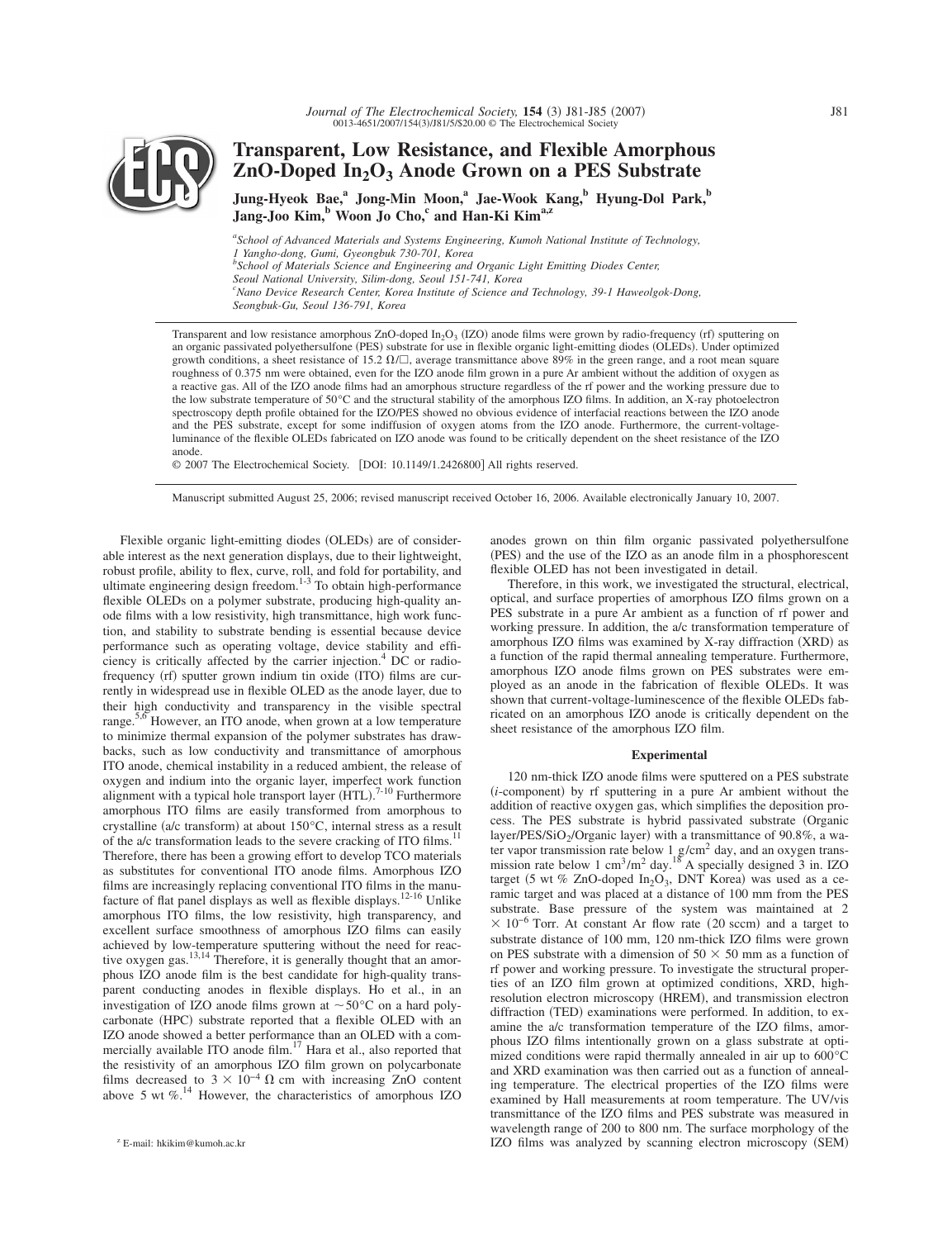

# **Transparent, Low Resistance, and Flexible Amorphous ZnO-Doped In2O3 Anode Grown on a PES Substrate**

**Jung-Hyeok Bae,a Jong-Min Moon,a Jae-Wook Kang,b Hyung-Dol Park,b** Jang-Joo Kim,<sup>b</sup> Woon Jo Cho,<sup>c</sup> and Han-Ki Kim<sup>a,z</sup>

*a School of Advanced Materials and Systems Engineering, Kumoh National Institute of Technology, 1 Yangho-dong, Gumi, Gyeongbuk 730-701, Korea b School of Materials Science and Engineering and Organic Light Emitting Diodes Center, Seoul National University, Silim-dong, Seoul 151-741, Korea c Nano Device Research Center, Korea Institute of Science and Technology, 39-1 Haweolgok-Dong, Seongbuk-Gu, Seoul 136-791, Korea*

Transparent and low resistance amorphous  $ZnO$ -doped  $In_2O_3$  (IZO) anode films were grown by radio-frequency (rf) sputtering on an organic passivated polyethersulfone (PES) substrate for use in flexible organic light-emitting diodes (OLEDs). Under optimized growth conditions, a sheet resistance of 15.2  $\Omega/\square$ , average transmittance above 89% in the green range, and a root mean square roughness of 0.375 nm were obtained, even for the IZO anode film grown in a pure Ar ambient without the addition of oxygen as a reactive gas. All of the IZO anode films had an amorphous structure regardless of the rf power and the working pressure due to the low substrate temperature of 50°C and the structural stability of the amorphous IZO films. In addition, an X-ray photoelectron spectroscopy depth profile obtained for the IZO/PES showed no obvious evidence of interfacial reactions between the IZO anode and the PES substrate, except for some indiffusion of oxygen atoms from the IZO anode. Furthermore, the current-voltageluminance of the flexible OLEDs fabricated on IZO anode was found to be critically dependent on the sheet resistance of the IZO anode.

© 2007 The Electrochemical Society. [DOI: 10.1149/1.2426800] All rights reserved.

Manuscript submitted August 25, 2006; revised manuscript received October 16, 2006. Available electronically January 10, 2007.

Flexible organic light-emitting diodes (OLEDs) are of considerable interest as the next generation displays, due to their lightweight, robust profile, ability to flex, curve, roll, and fold for portability, and ultimate engineering design freedom.<sup>1-3</sup> To obtain high-performance flexible OLEDs on a polymer substrate, producing high-quality anode films with a low resistivity, high transmittance, high work function, and stability to substrate bending is essential because device performance such as operating voltage, device stability and efficiency is critically affected by the carrier injection.4 DC or radiofrequency (rf) sputter grown indium tin oxide (ITO) films are currently in widespread use in flexible OLED as the anode layer, due to their high conductivity and transparency in the visible spectral range.<sup>5,6</sup> However, an ITO anode, when grown at a low temperature to minimize thermal expansion of the polymer substrates has drawbacks, such as low conductivity and transmittance of amorphous ITO anode, chemical instability in a reduced ambient, the release of oxygen and indium into the organic layer, imperfect work function alignment with a typical hole transport layer  $(HTL)$ .<sup>7-10</sup> Furthermore amorphous ITO films are easily transformed from amorphous to crystalline (a/c transform) at about 150°C, internal stress as a result of the a/c transformation leads to the severe cracking of ITO films.<sup>11</sup> Therefore, there has been a growing effort to develop TCO materials as substitutes for conventional ITO anode films. Amorphous IZO films are increasingly replacing conventional ITO films in the manu-<br>facture of flat panel displays as well as flexible displays.<sup>12-16</sup> Unlike amorphous ITO films, the low resistivity, high transparency, and excellent surface smoothness of amorphous IZO films can easily achieved by low-temperature sputtering without the need for reactive oxygen gas.<sup>13,14</sup> Therefore, it is generally thought that an amorphous IZO anode film is the best candidate for high-quality transparent conducting anodes in flexible displays. Ho et al., in an investigation of IZO anode films grown at  $\sim 50^{\circ}$ C on a hard polycarbonate (HPC) substrate reported that a flexible OLED with an IZO anode showed a better performance than an OLED with a com-<br>mercially available ITO anode film.<sup>17</sup> Hara et al., also reported that the resistivity of an amorphous IZO film grown on polycarbonate films decreased to  $3 \times 10^{-4} \Omega$  cm with increasing ZnO content above 5 wt  $\%$ .<sup>14</sup> However, the characteristics of amorphous IZO

anodes grown on thin film organic passivated polyethersulfone (PES) and the use of the IZO as an anode film in a phosphorescent flexible OLED has not been investigated in detail.

Therefore, in this work, we investigated the structural, electrical, optical, and surface properties of amorphous IZO films grown on a PES substrate in a pure Ar ambient as a function of rf power and working pressure. In addition, the a/c transformation temperature of amorphous IZO films was examined by X-ray diffraction (XRD) as a function of the rapid thermal annealing temperature. Furthermore, amorphous IZO anode films grown on PES substrates were employed as an anode in the fabrication of flexible OLEDs. It was shown that current-voltage-luminescence of the flexible OLEDs fabricated on an amorphous IZO anode is critically dependent on the sheet resistance of the amorphous IZO film.

#### **Experimental**

120 nm-thick IZO anode films were sputtered on a PES substrate  $(i$ -component) by rf sputtering in a pure Ar ambient without the addition of reactive oxygen gas, which simplifies the deposition process. The PES substrate is hybrid passivated substrate Organic layer/PES/SiO<sub>2</sub>/Organic layer) with a transmittance of 90.8%, a water vapor transmission rate below  $1 \text{ g/cm}^2$  day, and an oxygen transmission rate below 1 cm<sup>3</sup>/m<sup>2</sup> day.<sup>18</sup> A specially designed 3 in. IZO target (5 wt % ZnO-doped  $In_2O_3$ , DNT Korea) was used as a ceramic target and was placed at a distance of 100 mm from the PES substrate. Base pressure of the system was maintained at 2  $\times$  10<sup>-6</sup> Torr. At constant Ar flow rate (20 sccm) and a target to substrate distance of 100 mm, 120 nm-thick IZO films were grown on PES substrate with a dimension of  $50 \times 50$  mm as a function of rf power and working pressure. To investigate the structural properties of an IZO film grown at optimized conditions, XRD, highresolution electron microscopy (HREM), and transmission electron diffraction (TED) examinations were performed. In addition, to examine the a/c transformation temperature of the IZO films, amorphous IZO films intentionally grown on a glass substrate at optimized conditions were rapid thermally annealed in air up to 600°C and XRD examination was then carried out as a function of annealing temperature. The electrical properties of the IZO films were examined by Hall measurements at room temperature. The UV/vis transmittance of the IZO films and PES substrate was measured in wavelength range of 200 to 800 nm. The surface morphology of the IZO films was analyzed by scanning electron microscopy SEM- <sup>z</sup> E-mail: hkikim@kumoh.ac.kr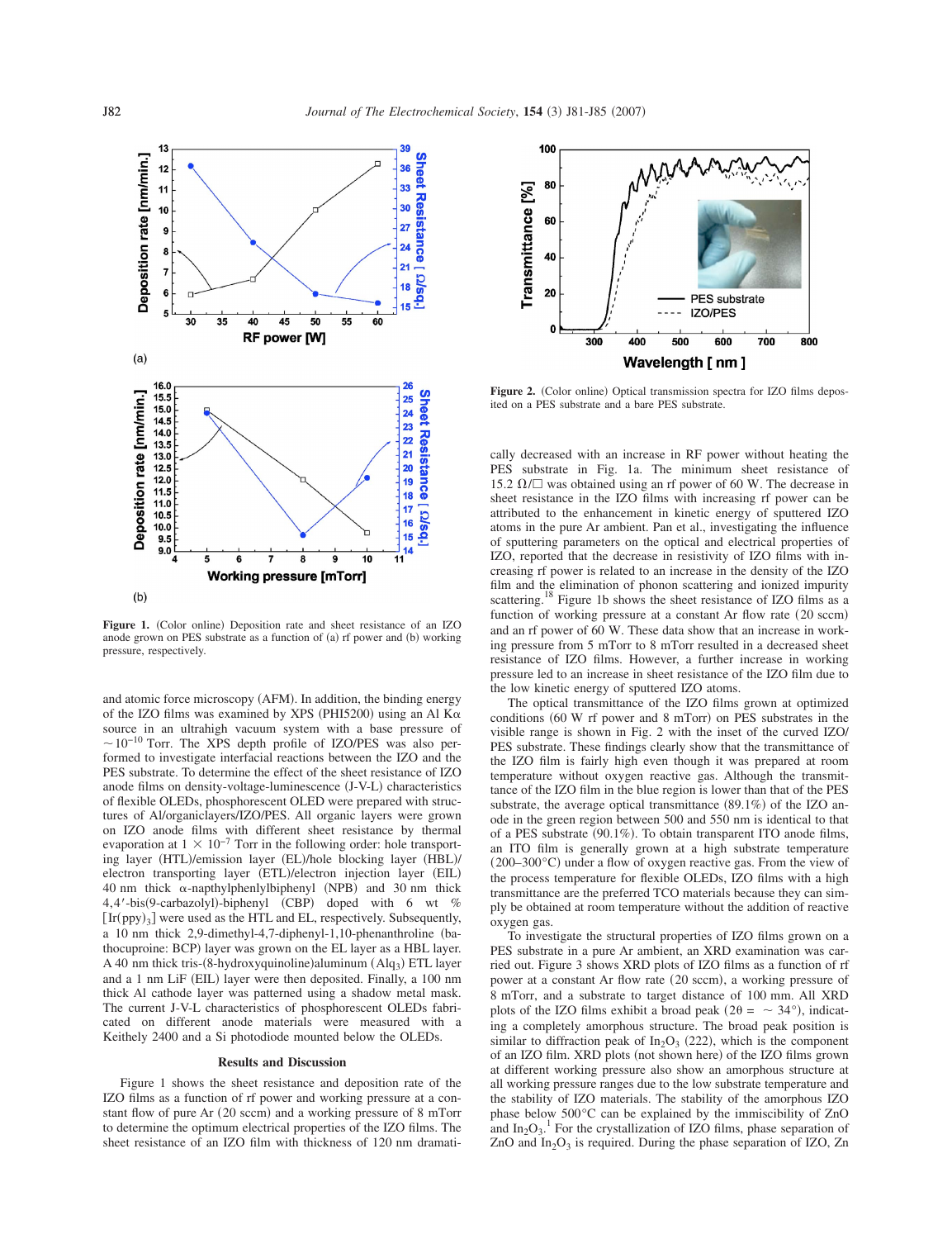

Figure 1. (Color online) Deposition rate and sheet resistance of an IZO anode grown on PES substrate as a function of (a) rf power and (b) working pressure, respectively.

and atomic force microscopy (AFM). In addition, the binding energy of the IZO films was examined by XPS (PHI5200) using an Al  $K\alpha$ source in an ultrahigh vacuum system with a base pressure of  $\sim 10^{-10}$  Torr. The XPS depth profile of IZO/PES was also performed to investigate interfacial reactions between the IZO and the PES substrate. To determine the effect of the sheet resistance of IZO anode films on density-voltage-luminescence (J-V-L) characteristics of flexible OLEDs, phosphorescent OLED were prepared with structures of Al/organiclayers/IZO/PES. All organic layers were grown on IZO anode films with different sheet resistance by thermal evaporation at  $1 \times 10^{-7}$  Torr in the following order: hole transporting layer (HTL)/emission layer (EL)/hole blocking layer (HBL)/ electron transporting layer (ETL)/electron injection layer (EIL) 40 nm thick  $\alpha$ -napthylphenlylbiphenyl (NPB) and 30 nm thick 4,4'-bis(9-carbazolyl)-biphenyl (CBP) doped with 6 wt %  $[\text{Ir}(\text{ppy})_3]$  were used as the HTL and EL, respectively. Subsequently, a 10 nm thick 2,9-dimethyl-4,7-diphenyl-1,10-phenanthroline (bathocuproine: BCP) layer was grown on the EL layer as a HBL layer. A 40 nm thick tris-(8-hydroxyquinoline)aluminum (Alq<sub>3</sub>) ETL layer and a 1 nm LiF (EIL) layer were then deposited. Finally, a 100 nm thick Al cathode layer was patterned using a shadow metal mask. The current J-V-L characteristics of phosphorescent OLEDs fabricated on different anode materials were measured with a Keithely 2400 and a Si photodiode mounted below the OLEDs.

## **Results and Discussion**

Figure 1 shows the sheet resistance and deposition rate of the IZO films as a function of rf power and working pressure at a constant flow of pure Ar (20 sccm) and a working pressure of 8 mTorr to determine the optimum electrical properties of the IZO films. The sheet resistance of an IZO film with thickness of 120 nm dramati-



Figure 2. (Color online) Optical transmission spectra for IZO films deposited on a PES substrate and a bare PES substrate.

cally decreased with an increase in RF power without heating the PES substrate in Fig. 1a. The minimum sheet resistance of 15.2  $\Omega/\square$  was obtained using an rf power of 60 W. The decrease in sheet resistance in the IZO films with increasing rf power can be attributed to the enhancement in kinetic energy of sputtered IZO atoms in the pure Ar ambient. Pan et al., investigating the influence of sputtering parameters on the optical and electrical properties of IZO, reported that the decrease in resistivity of IZO films with increasing rf power is related to an increase in the density of the IZO film and the elimination of phonon scattering and ionized impurity scattering.<sup>18</sup> Figure 1b shows the sheet resistance of IZO films as a function of working pressure at a constant Ar flow rate (20 sccm) and an rf power of 60 W. These data show that an increase in working pressure from 5 mTorr to 8 mTorr resulted in a decreased sheet resistance of IZO films. However, a further increase in working pressure led to an increase in sheet resistance of the IZO film due to the low kinetic energy of sputtered IZO atoms.

The optical transmittance of the IZO films grown at optimized conditions  $(60 \text{ W}$  rf power and  $8 \text{ mTorr}$ ) on PES substrates in the visible range is shown in Fig. 2 with the inset of the curved IZO/ PES substrate. These findings clearly show that the transmittance of the IZO film is fairly high even though it was prepared at room temperature without oxygen reactive gas. Although the transmittance of the IZO film in the blue region is lower than that of the PES substrate, the average optical transmittance  $(89.1\%)$  of the IZO anode in the green region between 500 and 550 nm is identical to that of a PES substrate (90.1%). To obtain transparent ITO anode films, an ITO film is generally grown at a high substrate temperature (200–300°C) under a flow of oxygen reactive gas. From the view of the process temperature for flexible OLEDs, IZO films with a high transmittance are the preferred TCO materials because they can simply be obtained at room temperature without the addition of reactive oxygen gas.

To investigate the structural properties of IZO films grown on a PES substrate in a pure Ar ambient, an XRD examination was carried out. Figure 3 shows XRD plots of IZO films as a function of rf power at a constant Ar flow rate (20 sccm), a working pressure of 8 mTorr, and a substrate to target distance of 100 mm. All XRD plots of the IZO films exhibit a broad peak ( $2\theta = \sim 34^{\circ}$ ), indicating a completely amorphous structure. The broad peak position is similar to diffraction peak of  $In_2O_3$  (222), which is the component of an IZO film. XRD plots (not shown here) of the IZO films grown at different working pressure also show an amorphous structure at all working pressure ranges due to the low substrate temperature and the stability of IZO materials. The stability of the amorphous IZO phase below 500°C can be explained by the immiscibility of ZnO and  $In_2O_3$ .<sup>1</sup> For the crystallization of IZO films, phase separation of ZnO and  $In_2O_3$  is required. During the phase separation of IZO, Zn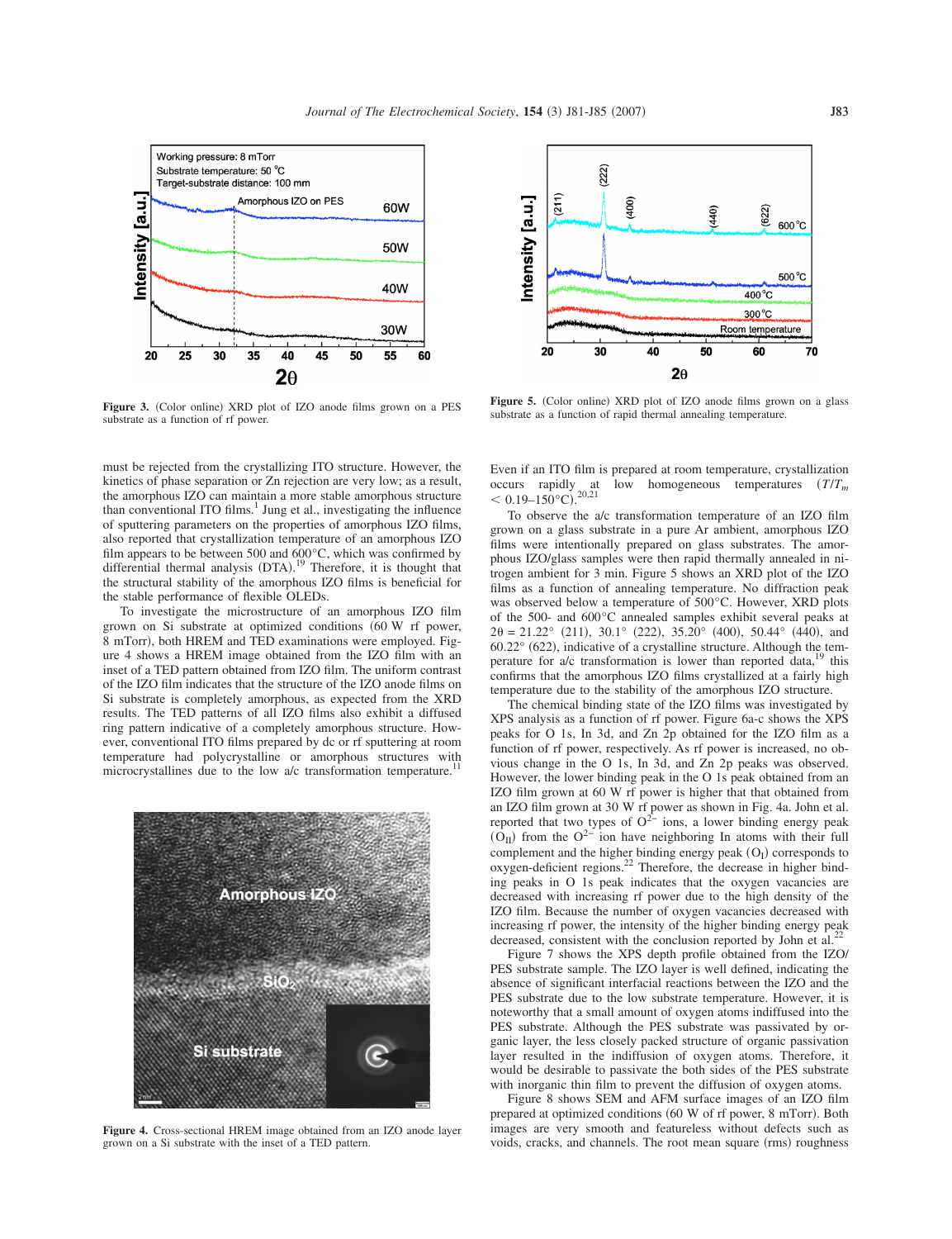

**Figure 3.** (Color online) XRD plot of IZO anode films grown on a PES substrate as a function of rf power.

must be rejected from the crystallizing ITO structure. However, the kinetics of phase separation or Zn rejection are very low; as a result, the amorphous IZO can maintain a more stable amorphous structure than conventional ITO films. $<sup>1</sup>$  Jung et al., investigating the influence</sup> of sputtering parameters on the properties of amorphous IZO films, also reported that crystallization temperature of an amorphous IZO film appears to be between 500 and 600°C, which was confirmed by differential thermal analysis (DTA).<sup>19</sup> Therefore, it is thought that the structural stability of the amorphous IZO films is beneficial for the stable performance of flexible OLEDs.

To investigate the microstructure of an amorphous IZO film grown on Si substrate at optimized conditions 60 W rf power, 8 mTorr), both HREM and TED examinations were employed. Figure 4 shows a HREM image obtained from the IZO film with an inset of a TED pattern obtained from IZO film. The uniform contrast of the IZO film indicates that the structure of the IZO anode films on Si substrate is completely amorphous, as expected from the XRD results. The TED patterns of all IZO films also exhibit a diffused ring pattern indicative of a completely amorphous structure. However, conventional ITO films prepared by dc or rf sputtering at room temperature had polycrystalline or amorphous structures with microcrystallines due to the low a/c transformation temperature.<sup>11</sup>



**Figure 4.** Cross-sectional HREM image obtained from an IZO anode layer grown on a Si substrate with the inset of a TED pattern.



Figure 5. (Color online) XRD plot of IZO anode films grown on a glass substrate as a function of rapid thermal annealing temperature.

Even if an ITO film is prepared at room temperature, crystallization occurs rapidly at low homogeneous temperatures  $(T/T_m)$  $< 0.19 - 150$ °C).<sup>20,21</sup>

To observe the a/c transformation temperature of an IZO film grown on a glass substrate in a pure Ar ambient, amorphous IZO films were intentionally prepared on glass substrates. The amorphous IZO/glass samples were then rapid thermally annealed in nitrogen ambient for 3 min. Figure 5 shows an XRD plot of the IZO films as a function of annealing temperature. No diffraction peak was observed below a temperature of 500°C. However, XRD plots of the 500- and 600°C annealed samples exhibit several peaks at  $2\theta = 21.22^{\circ}$  (211), 30.1° (222), 35.20° (400), 50.44° (440), and  $60.22^{\circ}$  (622), indicative of a crystalline structure. Although the temperature for  $a/c$  transformation is lower than reported data,  $19$  this confirms that the amorphous IZO films crystallized at a fairly high temperature due to the stability of the amorphous IZO structure.

The chemical binding state of the IZO films was investigated by XPS analysis as a function of rf power. Figure 6a-c shows the XPS peaks for O 1s, In 3d, and Zn 2p obtained for the IZO film as a function of rf power, respectively. As rf power is increased, no obvious change in the O 1s, In 3d, and Zn 2p peaks was observed. However, the lower binding peak in the O 1s peak obtained from an IZO film grown at 60 W rf power is higher that that obtained from an IZO film grown at 30 W rf power as shown in Fig. 4a. John et al. reported that two types of  $O^{2-}$  ions, a lower binding energy peak  $(O_{II})$  from the  $O^{2-}$  ion have neighboring In atoms with their full complement and the higher binding energy peak  $(O<sub>I</sub>)$  corresponds to oxygen-deficient regions.<sup>22</sup> Therefore, the decrease in higher binding peaks in O 1s peak indicates that the oxygen vacancies are decreased with increasing rf power due to the high density of the IZO film. Because the number of oxygen vacancies decreased with IZO finite because the number of  $\frac{1}{2}$  or  $\frac{1}{2}$  intensity of the higher binding energy peak decreased, consistent with the conclusion reported by John et al.<sup>2</sup>

Figure 7 shows the XPS depth profile obtained from the IZO/ PES substrate sample. The IZO layer is well defined, indicating the absence of significant interfacial reactions between the IZO and the PES substrate due to the low substrate temperature. However, it is noteworthy that a small amount of oxygen atoms indiffused into the PES substrate. Although the PES substrate was passivated by organic layer, the less closely packed structure of organic passivation layer resulted in the indiffusion of oxygen atoms. Therefore, it would be desirable to passivate the both sides of the PES substrate with inorganic thin film to prevent the diffusion of oxygen atoms.

Figure 8 shows SEM and AFM surface images of an IZO film prepared at optimized conditions (60 W of rf power, 8 mTorr). Both images are very smooth and featureless without defects such as voids, cracks, and channels. The root mean square (rms) roughness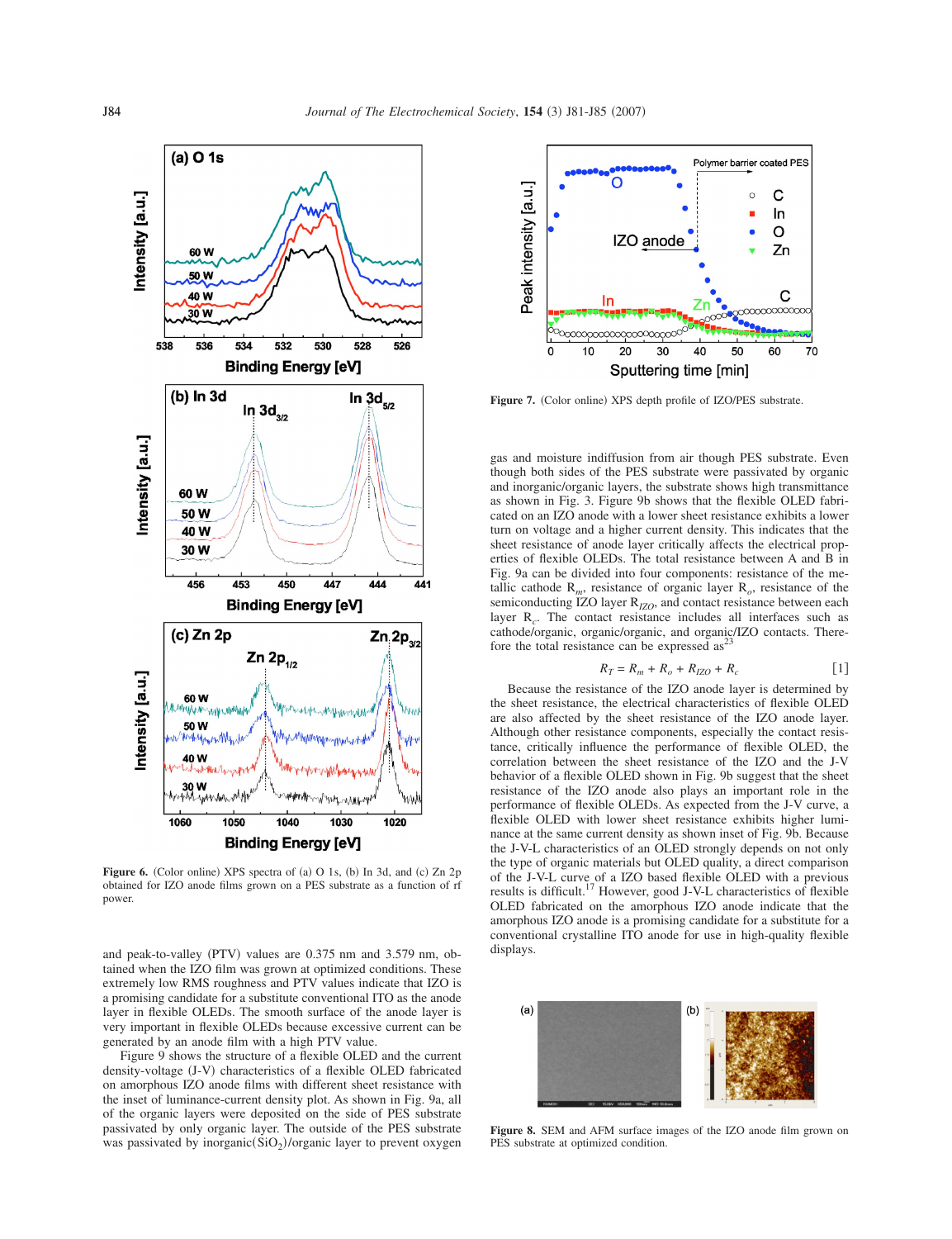

**Figure 6.** (Color online) XPS spectra of (a) O 1s, (b) In 3d, and (c) Zn 2p obtained for IZO anode films grown on a PES substrate as a function of rf power.

and peak-to-valley (PTV) values are 0.375 nm and 3.579 nm, obtained when the IZO film was grown at optimized conditions. These extremely low RMS roughness and PTV values indicate that IZO is a promising candidate for a substitute conventional ITO as the anode layer in flexible OLEDs. The smooth surface of the anode layer is very important in flexible OLEDs because excessive current can be generated by an anode film with a high PTV value.

Figure 9 shows the structure of a flexible OLED and the current density-voltage (J-V) characteristics of a flexible OLED fabricated on amorphous IZO anode films with different sheet resistance with the inset of luminance-current density plot. As shown in Fig. 9a, all of the organic layers were deposited on the side of PES substrate passivated by only organic layer. The outside of the PES substrate was passivated by inorganic $(SiO<sub>2</sub>)$ /organic layer to prevent oxygen



Figure 7. (Color online) XPS depth profile of IZO/PES substrate.

gas and moisture indiffusion from air though PES substrate. Even though both sides of the PES substrate were passivated by organic and inorganic/organic layers, the substrate shows high transmittance as shown in Fig. 3. Figure 9b shows that the flexible OLED fabricated on an IZO anode with a lower sheet resistance exhibits a lower turn on voltage and a higher current density. This indicates that the sheet resistance of anode layer critically affects the electrical properties of flexible OLEDs. The total resistance between A and B in Fig. 9a can be divided into four components: resistance of the metallic cathode  $R_m$ , resistance of organic layer  $R_o$ , resistance of the semiconducting IZO layer R<sub>IZO</sub>, and contact resistance between each layer R*c*. The contact resistance includes all interfaces such as cathode/organic, organic/organic, and organic/IZO contacts. Therefore the total resistance can be expressed as<sup>23</sup>

$$
R_T = R_m + R_o + R_{IZO} + R_c \tag{1}
$$

Because the resistance of the IZO anode layer is determined by the sheet resistance, the electrical characteristics of flexible OLED are also affected by the sheet resistance of the IZO anode layer. Although other resistance components, especially the contact resistance, critically influence the performance of flexible OLED, the correlation between the sheet resistance of the IZO and the J-V behavior of a flexible OLED shown in Fig. 9b suggest that the sheet resistance of the IZO anode also plays an important role in the performance of flexible OLEDs. As expected from the J-V curve, a flexible OLED with lower sheet resistance exhibits higher luminance at the same current density as shown inset of Fig. 9b. Because the J-V-L characteristics of an OLED strongly depends on not only the type of organic materials but OLED quality, a direct comparison of the J-V-L curve of a IZO based flexible OLED with a previous results is difficult.<sup>17</sup> However, good J-V-L characteristics of flexible OLED fabricated on the amorphous IZO anode indicate that the amorphous IZO anode is a promising candidate for a substitute for a conventional crystalline ITO anode for use in high-quality flexible displays.



**Figure 8.** SEM and AFM surface images of the IZO anode film grown on PES substrate at optimized condition.